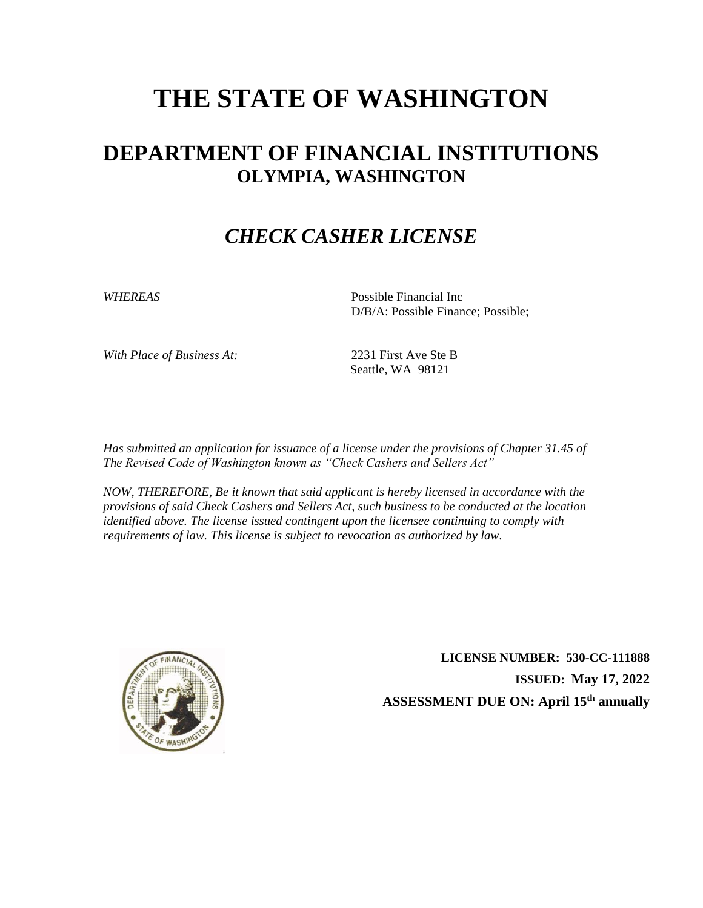# **THE STATE OF WASHINGTON**

### **DEPARTMENT OF FINANCIAL INSTITUTIONS OLYMPIA, WASHINGTON**

#### *CHECK CASHER LICENSE*

*WHEREAS* Possible Financial Inc D/B/A: Possible Finance; Possible;

*With Place of Business At:* 2231 First Ave Ste B

Seattle, WA 98121

*Has submitted an application for issuance of a license under the provisions of Chapter 31.45 of The Revised Code of Washington known as "Check Cashers and Sellers Act"*

*NOW, THEREFORE, Be it known that said applicant is hereby licensed in accordance with the provisions of said Check Cashers and Sellers Act, such business to be conducted at the location identified above. The license issued contingent upon the licensee continuing to comply with requirements of law. This license is subject to revocation as authorized by law.*



**LICENSE NUMBER: 530-CC-111888 ISSUED: May 17, 2022 ASSESSMENT DUE ON: April 15th annually**